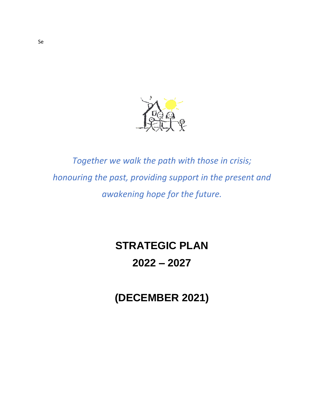

*Together we walk the path with those in crisis; honouring the past, providing support in the present and awakening hope for the future.*

# **STRATEGIC PLAN**

## **2022 – 2027**

**(DECEMBER 2021)**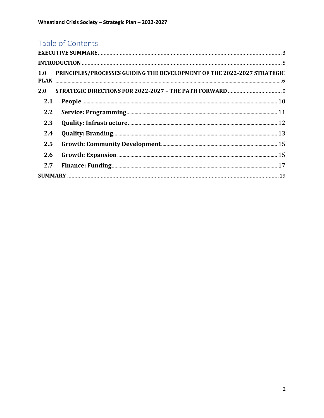### Table of Contents

|     | 1.0 PRINCIPLES/PROCESSES GUIDING THE DEVELOPMENT OF THE 2022-2027 STRATEGIC |  |
|-----|-----------------------------------------------------------------------------|--|
|     |                                                                             |  |
| 2.1 |                                                                             |  |
| 2.2 |                                                                             |  |
| 2.3 |                                                                             |  |
| 2.4 |                                                                             |  |
| 2.5 |                                                                             |  |
| 2.6 |                                                                             |  |
| 2.7 |                                                                             |  |
|     |                                                                             |  |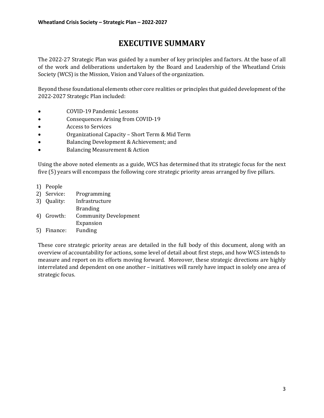### **EXECUTIVE SUMMARY**

<span id="page-2-0"></span>The 2022-27 Strategic Plan was guided by a number of key principles and factors. At the base of all of the work and deliberations undertaken by the Board and Leadership of the Wheatland Crisis Society (WCS) is the Mission, Vision and Values of the organization.

Beyond these foundational elements other core realities or principles that guided development of the 2022-2027 Strategic Plan included:

- COVID-19 Pandemic Lessons
- Consequences Arising from COVID-19
- Access to Services
- Organizational Capacity Short Term & Mid Term
- Balancing Development & Achievement; and
- Balancing Measurement & Action

Using the above noted elements as a guide, WCS has determined that its strategic focus for the next five (5) years will encompass the following core strategic priority areas arranged by five pillars.

- 1) People
- 2) Service: Programming
- 3) Quality: Infrastructure
- Branding 4) Growth: Community Development
	- Expansion
- 5) Finance: Funding

These core strategic priority areas are detailed in the full body of this document, along with an overview of accountability for actions, some level of detail about first steps, and how WCS intends to measure and report on its efforts moving forward. Moreover, these strategic directions are highly interrelated and dependent on one another – initiatives will rarely have impact in solely one area of strategic focus.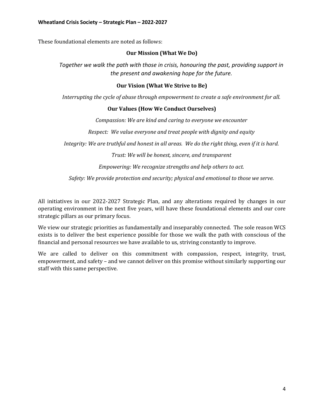These foundational elements are noted as follows:

#### **Our Mission (What We Do)**

*Together we walk the path with those in crisis, honouring the past, providing support in the present and awakening hope for the future.*

#### **Our Vision (What We Strive to Be)**

*Interrupting the cycle of abuse through empowerment to create a safe environment for all.*

#### **Our Values (How We Conduct Ourselves)**

*Compassion: We are kind and caring to everyone we encounter*

*Respect: We value everyone and treat people with dignity and equity*

*Integrity: We are truthful and honest in all areas. We do the right thing, even if it is hard.*

*Trust: We will be honest, sincere, and transparent*

*Empowering: We recognize strengths and help others to act.*

*Safety: We provide protection and security; physical and emotional to those we serve.*

All initiatives in our 2022-2027 Strategic Plan, and any alterations required by changes in our operating environment in the next five years, will have these foundational elements and our core strategic pillars as our primary focus.

We view our strategic priorities as fundamentally and inseparably connected. The sole reason WCS exists is to deliver the best experience possible for those we walk the path with conscious of the financial and personal resources we have available to us, striving constantly to improve.

We are called to deliver on this commitment with compassion, respect, integrity, trust, empowerment, and safety – and we cannot deliver on this promise without similarly supporting our staff with this same perspective.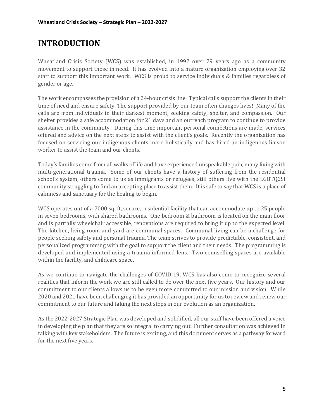### <span id="page-4-0"></span>**INTRODUCTION**

Wheatland Crisis Society (WCS) was established, in 1992 over 29 years ago as a community movement to support those in need. It has evolved into a mature organization employing over 32 staff to support this important work. WCS is proud to service individuals & families regardless of gender or age.

The work encompasses the provision of a 24-hour crisis line. Typical calls support the clients in their time of need and ensure safety. The support provided by our team often changes lives! Many of the calls are from individuals in their darkest moment, seeking safety, shelter, and compassion. Our shelter provides a safe accommodation for 21 days and an outreach program to continue to provide assistance in the community. During this time important personal connections are made, services offered and advice on the next steps to assist with the client's goals. Recently the organization has focused on servicing our indigenous clients more holistically and has hired an indigenous liaison worker to assist the team and our clients.

Today's families come from all walks of life and have experienced unspeakable pain, many living with multi-generational trauma. Some of our clients have a history of suffering from the residential school's system, others come to us as immigrants or refugees, still others live with the LGBTQ2SI community struggling to find an accepting place to assist them. It is safe to say that WCS is a place of calmness and sanctuary for the healing to begin.

WCS operates out of a 7000 sq. ft, secure, residential facility that can accommodate up to 25 people in seven bedrooms, with shared bathrooms. One bedroom & bathroom is located on the main floor and is partially wheelchair accessible, renovations are required to bring it up to the expected level. The kitchen, living room and yard are communal spaces. Communal living can be a challenge for people seeking safety and personal trauma. The team strives to provide predictable, consistent, and personalized programming with the goal to support the client and their needs. The programming is developed and implemented using a trauma informed lens. Two counselling spaces are available within the facility, and childcare space.

As we continue to navigate the challenges of COVID-19, WCS has also come to recognize several realities that inform the work we are still called to do over the next five years. Our history and our commitment to our clients allows us to be even more committed to our mission and vision. While 2020 and 2021 have been challenging it has provided an opportunity for us to review and renew our commitment to our future and taking the next steps in our evolution as an organization.

As the 2022-2027 Strategic Plan was developed and solidified, all our staff have been offered a voice in developing the plan that they are so integral to carrying out. Further consultation was achieved in talking with key stakeholders. The future is exciting, and this document serves as a pathway forward for the next five years.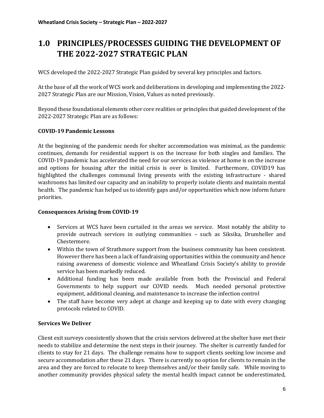### <span id="page-5-0"></span>**1.0 PRINCIPLES/PROCESSES GUIDING THE DEVELOPMENT OF THE 2022-2027 STRATEGIC PLAN**

WCS developed the 2022-2027 Strategic Plan guided by several key principles and factors.

At the base of all the work of WCS work and deliberations in developing and implementing the 2022- 2027 Strategic Plan are our Mission, Vision, Values as noted previously.

Beyond these foundational elements other core realities or principles that guided development of the 2022-2027 Strategic Plan are as follows:

### **COVID-19 Pandemic Lessons**

At the beginning of the pandemic needs for shelter accommodation was minimal, as the pandemic continues, demands for residential support is on the increase for both singles and families. The COVID-19 pandemic has accelerated the need for our services as violence at home is on the increase and options for housing after the initial crisis is over is limited. Furthermore, COVID19 has highlighted the challenges communal living presents with the existing infrastructure - shared washrooms has limited our capacity and an inability to properly isolate clients and maintain mental health. The pandemic has helped us to identify gaps and/or opportunities which now inform future priorities.

### **Consequences Arising from COVID-19**

- Services at WCS have been curtailed in the areas we service. Most notably the ability to provide outreach services in outlying communities – such as Siksika, Drumheller and Chestermere.
- Within the town of Strathmore support from the business community has been consistent. However there has been a lack of fundraising opportunities within the community and hence raising awareness of domestic violence and Wheatland Crisis Society's ability to provide service has been markedly reduced.
- Additional funding has been made available from both the Provincial and Federal Governments to help support our COVID needs. Much needed personal protective equipment, additional cleaning, and maintenance to increase the infection control
- The staff have become very adept at change and keeping up to date with every changing protocols related to COVID.

### **Services We Deliver**

Client exit surveys consistently shown that the crisis services delivered at the shelter have met their needs to stabilize and determine the next steps in their journey. The shelter is currently funded for clients to stay for 21 days. The challenge remains how to support clients seeking low income and secure accommodation after these 21 days. There is currently no option for clients to remain in the area and they are forced to relocate to keep themselves and/or their family safe. While moving to another community provides physical safety the mental health impact cannot be underestimated,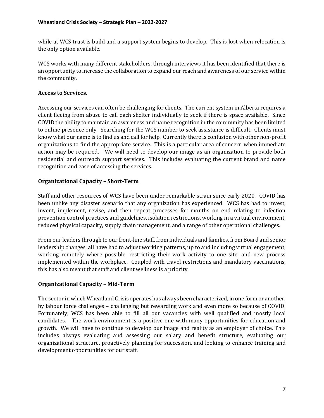while at WCS trust is build and a support system begins to develop. This is lost when relocation is the only option available.

WCS works with many different stakeholders, through interviews it has been identified that there is an opportunity to increase the collaboration to expand our reach and awareness of our service within the community.

### **Access to Services.**

Accessing our services can often be challenging for clients. The current system in Alberta requires a client fleeing from abuse to call each shelter individually to seek if there is space available. Since COVID the ability to maintain an awareness and name recognition in the community has been limited to online presence only. Searching for the WCS number to seek assistance is difficult. Clients must know what our name is to find us and call for help. Currently there is confusion with other non-profit organizations to find the appropriate service. This is a particular area of concern when immediate action may be required. We will need to develop our image as an organization to provide both residential and outreach support services. This includes evaluating the current brand and name recognition and ease of accessing the services.

### **Organizational Capacity – Short-Term**

Staff and other resources of WCS have been under remarkable strain since early 2020. COVID has been unlike any disaster scenario that any organization has experienced. WCS has had to invest, invent, implement, revise, and then repeat processes for months on end relating to infection prevention control practices and guidelines, isolation restrictions, working in a virtual environment, reduced physical capacity, supply chain management, and a range of other operational challenges.

From our leaders through to our front-line staff, from individuals and families, from Board and senior leadership changes, all have had to adjust working patterns, up to and including virtual engagement, working remotely where possible, restricting their work activity to one site, and new process implemented within the workplace. Coupled with travel restrictions and mandatory vaccinations, this has also meant that staff and client wellness is a priority.

### **Organizational Capacity – Mid-Term**

The sector in which Wheatland Crisis operates has always been characterized, in one form or another, by labour force challenges – challenging but rewarding work and even more so because of COVID. Fortunately, WCS has been able to fill all our vacancies with well qualified and mostly local candidates. The work environment is a positive one with many opportunities for education and growth. We will have to continue to develop our image and reality as an employer of choice. This includes always evaluating and assessing our salary and benefit structure, evaluating our organizational structure, proactively planning for succession, and looking to enhance training and development opportunities for our staff.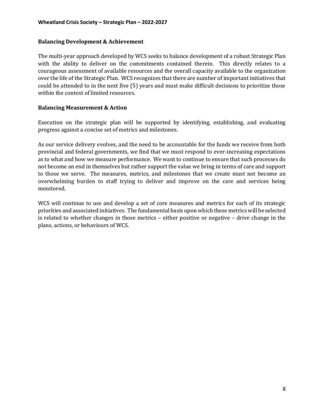#### **Balancing Development & Achievement**

The multi-year approach developed by WCS seeks to balance development of a robust Strategic Plan with the ability to deliver on the commitments contained therein. This directly relates to a courageous assessment of available resources and the overall capacity available to the organization over the life of the Strategic Plan. WCS recognizes that there are number of important initiatives that could be attended to in the next five (5) years and must make difficult decisions to prioritize those within the context of limited resources.

#### **Balancing Measurement & Action**

Execution on the strategic plan will be supported by identifying, establishing, and evaluating progress against a concise set of metrics and milestones.

As our service delivery evolves, and the need to be accountable for the funds we receive from both provincial and federal governments, we find that we must respond to ever-increasing expectations as to what and how we measure performance. We want to continue to ensure that such processes do not become an end in themselves but rather support the value we bring in terms of care and support to those we serve. The measures, metrics, and milestones that we create must not become an overwhelming burden to staff trying to deliver and improve on the care and services being monitored.

WCS will continue to use and develop a set of core measures and metrics for each of its strategic priorities and associated initiatives. The fundamental basis upon which these metrics will be selected is related to whether changes in those metrics – either positive or negative – drive change in the plans, actions, or behaviours of WCS.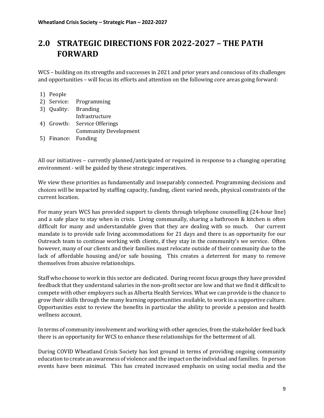### <span id="page-8-0"></span>**2.0 STRATEGIC DIRECTIONS FOR 2022-2027 – THE PATH FORWARD**

WCS – building on its strengths and successes in 2021 and prior years and conscious of its challenges and opportunities – will focus its efforts and attention on the following core areas going forward:

### 1) People

|                     | 2) Service: Programming      |
|---------------------|------------------------------|
|                     | 3) Quality: Branding         |
|                     | Infrastructure               |
|                     | 4) Growth: Service Offerings |
|                     | <b>Community Development</b> |
| 5) Finance: Funding |                              |

All our initiatives – currently planned/anticipated or required in response to a changing operating environment - will be guided by these strategic imperatives.

We view these priorities as fundamentally and inseparably connected. Programming decisions and choices will be impacted by staffing capacity, funding, client varied needs, physical constraints of the current location.

For many years WCS has provided support to clients through telephone counselling (24-hour line) and a safe place to stay when in crisis. Living communally, sharing a bathroom & kitchen is often difficult for many and understandable given that they are dealing with so much. Our current mandate is to provide safe living accommodations for 21 days and there is an opportunity for our Outreach team to continue working with clients, if they stay in the community's we service. Often however, many of our clients and their families must relocate outside of their community due to the lack of affordable housing and/or safe housing. This creates a deterrent for many to remove themselves from abusive relationships.

Staff who choose to work in this sector are dedicated. During recent focus groups they have provided feedback that they understand salaries in the non-profit sector are low and that we find it difficult to compete with other employers such as Alberta Health Services. What we can provide is the chance to grow their skills through the many learning opportunities available, to work in a supportive culture. Opportunities exist to review the benefits in particular the ability to provide a pension and health wellness account.

In terms of community involvement and working with other agencies, from the stakeholder feed back there is an opportunity for WCS to enhance these relationships for the betterment of all.

During COVID Wheatland Crisis Society has lost ground in terms of providing ongoing community education to create an awareness of violence and the impact on the individual and families. In person events have been minimal. This has created increased emphasis on using social media and the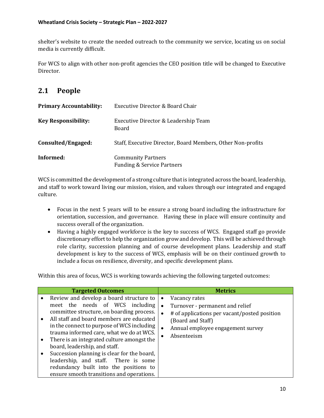shelter's website to create the needed outreach to the community we service, locating us on social media is currently difficult.

For WCS to align with other non-profit agencies the CEO position title will be changed to Executive Director.

### <span id="page-9-0"></span>**2.1 People**

| <b>Primary Accountability:</b> | Executive Director & Board Chair                                   |
|--------------------------------|--------------------------------------------------------------------|
| <b>Key Responsibility:</b>     | Executive Director & Leadership Team<br>Board                      |
| Consulted/Engaged:             | Staff, Executive Director, Board Members, Other Non-profits        |
| Informed:                      | <b>Community Partners</b><br><b>Funding &amp; Service Partners</b> |

WCS is committed the development of a strong culture that is integrated across the board, leadership, and staff to work toward living our mission, vision, and values through our integrated and engaged culture.

- Focus in the next 5 years will to be ensure a strong board including the infrastructure for orientation, succession, and governance. Having these in place will ensure continuity and success overall of the organization.
- Having a highly engaged workforce is the key to success of WCS. Engaged staff go provide discretionary effort to help the organization grow and develop. This will be achieved through role clarity, succession planning and of course development plans. Leadership and staff development is key to the success of WCS, emphasis will be on their continued growth to include a focus on resilience, diversity, and specific development plans.

| <b>Targeted Outcomes</b>                                                                                                                                                                                                                                                                                                                                                                                                                                                                                                                | <b>Metrics</b>                                                                                                                                                                                      |
|-----------------------------------------------------------------------------------------------------------------------------------------------------------------------------------------------------------------------------------------------------------------------------------------------------------------------------------------------------------------------------------------------------------------------------------------------------------------------------------------------------------------------------------------|-----------------------------------------------------------------------------------------------------------------------------------------------------------------------------------------------------|
| Review and develop a board structure to<br>meet the needs of WCS including<br>committee structure, on boarding process.<br>All staff and board members are educated<br>in the connect to purpose of WCS including<br>trauma informed care, what we do at WCS.<br>There is an integrated culture amongst the<br>$\bullet$<br>board, leadership, and staff.<br>Succession planning is clear for the board,<br>leadership, and staff. There is some<br>redundancy built into the positions to<br>ensure smooth transitions and operations. | Vacancy rates<br>$\bullet$<br>Turnover - permanent and relief<br>$\bullet$<br># of applications per vacant/posted position<br>(Board and Staff)<br>Annual employee engagement survey<br>Absenteeism |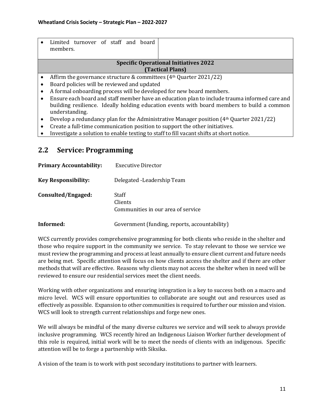|           | Limited turnover of staff and board                                                           |  |
|-----------|-----------------------------------------------------------------------------------------------|--|
|           | members.                                                                                      |  |
|           | <b>Specific Operational Initiatives 2022</b>                                                  |  |
|           |                                                                                               |  |
|           | (Tactical Plans)                                                                              |  |
|           | Affirm the governance structure & committees $(4th$ Quarter 2021/22)                          |  |
|           | Board policies will be reviewed and updated                                                   |  |
| $\bullet$ | A formal onboarding process will be developed for new board members.                          |  |
|           | Ensure each board and staff member have an education plan to include trauma informed care and |  |
|           | building resilience. Ideally holding education events with board members to build a common    |  |
|           | understanding.                                                                                |  |
| $\bullet$ | Develop a redundancy plan for the Administrative Manager position $(4th$ Quarter 2021/22)     |  |
|           | Create a full-time communication position to support the other initiatives.                   |  |

• Investigate a solution to enable texting to staff to fill vacant shifts at short notice.

### <span id="page-10-0"></span>**2.2 Service: Programming**

| <b>Primary Accountability:</b> | Executive Director                                     |
|--------------------------------|--------------------------------------------------------|
| <b>Key Responsibility:</b>     | Delegated - Leadership Team                            |
| Consulted/Engaged:             | Staff<br>Clients<br>Communities in our area of service |
| Informed:                      | Government (funding, reports, accountability)          |

WCS currently provides comprehensive programming for both clients who reside in the shelter and those who require support in the community we service. To stay relevant to those we service we must review the programming and process at least annually to ensure client current and future needs are being met. Specific attention will focus on how clients access the shelter and if there are other methods that will are effective. Reasons why clients may not access the shelter when in need will be reviewed to ensure our residential services meet the client needs.

Working with other organizations and ensuring integration is a key to success both on a macro and micro level. WCS will ensure opportunities to collaborate are sought out and resources used as effectively as possible. Expansion to other communities is required to further our mission and vision. WCS will look to strength current relationships and forge new ones.

We will always be mindful of the many diverse cultures we service and will seek to always provide inclusive programming. WCS recently hired an Indigenous Liaison Worker further development of this role is required, initial work will be to meet the needs of clients with an indigenous. Specific attention will be to forge a partnership with Siksika.

A vision of the team is to work with post secondary institutions to partner with learners.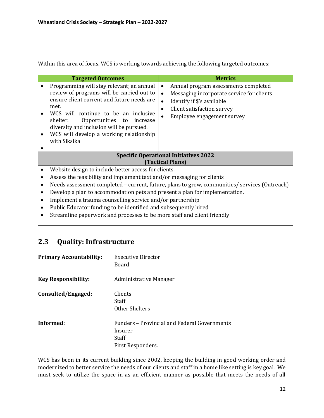Within this area of focus, WCS is working towards achieving the following targeted outcomes:

| Annual program assessments completed<br>Messaging incorporate service for clients             |  |  |
|-----------------------------------------------------------------------------------------------|--|--|
|                                                                                               |  |  |
| <b>Specific Operational Initiatives 2022</b><br><b>(Tactical Plans)</b>                       |  |  |
|                                                                                               |  |  |
| Website design to include better access for clients.                                          |  |  |
| Assess the feasibility and implement text and/or messaging for clients                        |  |  |
| Needs assessment completed - current, future, plans to grow, communities/ services (Outreach) |  |  |
| Develop a plan to accommodation pets and present a plan for implementation.                   |  |  |
| Implement a trauma counselling service and/or partnership                                     |  |  |
| Public Educator funding to be identified and subsequently hired                               |  |  |
|                                                                                               |  |  |

• Streamline paperwork and processes to be more staff and client friendly

### <span id="page-11-0"></span>**2.3 Quality: Infrastructure**

| <b>Primary Accountability:</b> | <b>Executive Director</b><br>Board                                                    |
|--------------------------------|---------------------------------------------------------------------------------------|
| <b>Key Responsibility:</b>     | Administrative Manager                                                                |
| Consulted/Engaged:             | Clients<br>Staff<br>Other Shelters                                                    |
| Informed:                      | Funders - Provincial and Federal Governments<br>Insurer<br>Staff<br>First Responders. |

WCS has been in its current building since 2002, keeping the building in good working order and modernized to better service the needs of our clients and staff in a home like setting is key goal. We must seek to utilize the space in as an efficient manner as possible that meets the needs of all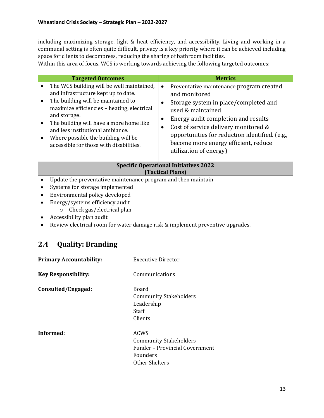including maximizing storage, light & heat efficiency, and accessibility. Living and working in a communal setting is often quite difficult, privacy is a key priority where it can be achieved including space for clients to decompress, reducing the sharing of bathroom facilities.

Within this area of focus, WCS is working towards achieving the following targeted outcomes:

| <b>Targeted Outcomes</b>                                                                                                                                                                                                                                                                                                                               | <b>Metrics</b>                                                                                                                                                                                                                                                                                                                                       |  |  |
|--------------------------------------------------------------------------------------------------------------------------------------------------------------------------------------------------------------------------------------------------------------------------------------------------------------------------------------------------------|------------------------------------------------------------------------------------------------------------------------------------------------------------------------------------------------------------------------------------------------------------------------------------------------------------------------------------------------------|--|--|
| The WCS building will be well maintained,<br>and infrastructure kept up to date.<br>The building will be maintained to<br>maximize efficiencies - heating, electrical<br>and storage.<br>The building will have a more home like<br>and less institutional ambiance.<br>Where possible the building will be<br>accessible for those with disabilities. | Preventative maintenance program created<br>$\bullet$<br>and monitored<br>Storage system in place/completed and<br>used & maintained<br>Energy audit completion and results<br>Cost of service delivery monitored &<br>$\bullet$<br>opportunities for reduction identified. (e.g.,<br>become more energy efficient, reduce<br>utilization of energy) |  |  |
| <b>Specific Operational Initiatives 2022</b><br>(Tactical Plans)                                                                                                                                                                                                                                                                                       |                                                                                                                                                                                                                                                                                                                                                      |  |  |
| Update the preventative maintenance program and then maintain                                                                                                                                                                                                                                                                                          |                                                                                                                                                                                                                                                                                                                                                      |  |  |
| Systems for storage implemented                                                                                                                                                                                                                                                                                                                        |                                                                                                                                                                                                                                                                                                                                                      |  |  |
| Environmental policy developed                                                                                                                                                                                                                                                                                                                         |                                                                                                                                                                                                                                                                                                                                                      |  |  |
| Energy/systems efficiency audit                                                                                                                                                                                                                                                                                                                        |                                                                                                                                                                                                                                                                                                                                                      |  |  |
| Check gas/electrical plan<br>$\circ$                                                                                                                                                                                                                                                                                                                   |                                                                                                                                                                                                                                                                                                                                                      |  |  |
| Accessibility plan audit                                                                                                                                                                                                                                                                                                                               |                                                                                                                                                                                                                                                                                                                                                      |  |  |
| Review electrical room for water damage risk & implement preventive upgrades.                                                                                                                                                                                                                                                                          |                                                                                                                                                                                                                                                                                                                                                      |  |  |

### <span id="page-12-0"></span>**2.4 Quality: Branding**

| <b>Primary Accountability:</b> | Executive Director                                                                                                  |
|--------------------------------|---------------------------------------------------------------------------------------------------------------------|
| <b>Key Responsibility:</b>     | Communications                                                                                                      |
| Consulted/Engaged:             | Board<br><b>Community Stakeholders</b><br>Leadership<br>Staff<br>Clients                                            |
| Informed:                      | <b>ACWS</b><br><b>Community Stakeholders</b><br>Funder – Provincial Government<br><b>Founders</b><br>Other Shelters |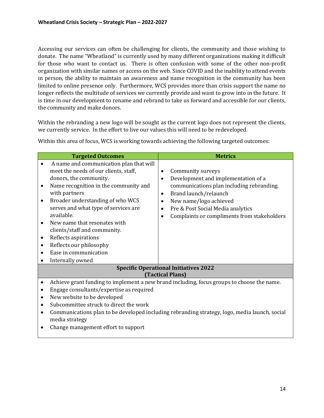Accessing our services can often be challenging for clients, the community and those wishing to donate. The name "Wheatland" is currently used by many different organizations making it difficult for those who want to contact us. There is often confusion with some of the other non-profit organization with similar names or access on the web. Since COVID and the inability to attend events in person, the ability to maintain an awareness and name recognition in the community has been limited to online presence only. Furthermore, WCS provides more than crisis support the name no longer reflects the multitude of services we currently provide and want to grow into in the future. It is time in our development to rename and rebrand to take us forward and accessible for our clients, the community and make donors.

Within the rebranding a new logo will be sought as the current logo does not represent the clients, we currently service. In the effort to live our values this will need to be redeveloped.

| <b>Targeted Outcomes</b>                                                                                                                                                                                                                                                                                                                                                                                                                                 | <b>Metrics</b>                                                                                                                                                                                                                                                                                                             |  |  |
|----------------------------------------------------------------------------------------------------------------------------------------------------------------------------------------------------------------------------------------------------------------------------------------------------------------------------------------------------------------------------------------------------------------------------------------------------------|----------------------------------------------------------------------------------------------------------------------------------------------------------------------------------------------------------------------------------------------------------------------------------------------------------------------------|--|--|
| A name and communication plan that will<br>meet the needs of our clients, staff,<br>donors, the community.<br>Name recognition in the community and<br>with partners<br>Broader understanding of who WCS<br>serves and what type of services are<br>available.<br>New name that resonates with<br>clients/staff and community.<br>Reflects aspirations<br>$\bullet$<br>Reflects our philosophy<br>$\bullet$<br>Ease in communication<br>Internally owned | Community surveys<br>$\bullet$<br>Development and implementation of a<br>$\bullet$<br>communications plan including rebranding.<br>Brand launch/relaunch<br>$\bullet$<br>New name/logo achieved<br>$\bullet$<br>Pre & Post Social Media analytics<br>$\bullet$<br>Complaints or compliments from stakeholders<br>$\bullet$ |  |  |
|                                                                                                                                                                                                                                                                                                                                                                                                                                                          | <b>Specific Operational Initiatives 2022</b>                                                                                                                                                                                                                                                                               |  |  |
|                                                                                                                                                                                                                                                                                                                                                                                                                                                          | <b>(Tactical Plans)</b>                                                                                                                                                                                                                                                                                                    |  |  |
| $\bullet$                                                                                                                                                                                                                                                                                                                                                                                                                                                | Achieve grant funding to implement a new brand including, focus groups to choose the name.                                                                                                                                                                                                                                 |  |  |
| $\bullet$                                                                                                                                                                                                                                                                                                                                                                                                                                                | Engage consultants/expertise as required                                                                                                                                                                                                                                                                                   |  |  |
| New website to be developed<br>$\bullet$                                                                                                                                                                                                                                                                                                                                                                                                                 |                                                                                                                                                                                                                                                                                                                            |  |  |
| Subcommittee struck to direct the work<br>$\bullet$                                                                                                                                                                                                                                                                                                                                                                                                      |                                                                                                                                                                                                                                                                                                                            |  |  |
| Communications plan to be developed including rebranding strategy, logo, media launch, social<br>media strategy<br>Change management effort to support                                                                                                                                                                                                                                                                                                   |                                                                                                                                                                                                                                                                                                                            |  |  |
|                                                                                                                                                                                                                                                                                                                                                                                                                                                          |                                                                                                                                                                                                                                                                                                                            |  |  |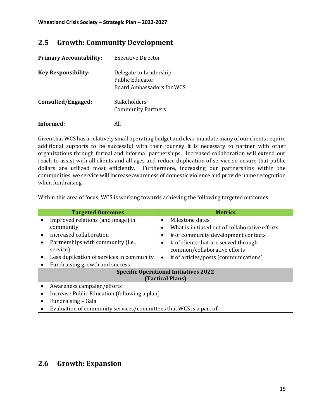### <span id="page-14-0"></span>**2.5 Growth: Community Development**

| <b>Primary Accountability:</b> | Executive Director                                                            |
|--------------------------------|-------------------------------------------------------------------------------|
| <b>Key Responsibility:</b>     | Delegate to Leadership<br>Public Educator<br><b>Board Ambassadors for WCS</b> |
| Consulted/Engaged:             | Stakeholders<br><b>Community Partners</b>                                     |
| Informed:                      |                                                                               |

Given that WCS has a relatively small operating budget and clear mandate many of our clients require additional supports to be successful with their journey it is necessary to partner with other organizations through formal and informal partnerships. Increased collaboration will extend our reach to assist with all clients and all ages and reduce duplication of service so ensure that public dollars are utilized most efficiently. Furthermore, increasing our partnerships within the communities, we service will increase awareness of domestic violence and provide name recognition when fundraising.

Within this area of focus, WCS is working towards achieving the following targeted outcomes:

| <b>Targeted Outcomes</b>                                          |           | <b>Metrics</b>                                 |  |  |
|-------------------------------------------------------------------|-----------|------------------------------------------------|--|--|
| Improved relations (and image) in                                 | $\bullet$ | Milestone dates                                |  |  |
| community                                                         | $\bullet$ | What is initiated out of collaborative efforts |  |  |
| Increased collaboration                                           | $\bullet$ | # of community development contacts            |  |  |
| Partnerships with community (i.e.,                                | $\bullet$ | # of clients that are served through           |  |  |
| service)                                                          |           | common/collaborative efforts                   |  |  |
| Less duplication of services in community                         | $\bullet$ | # of articles/posts (communications)           |  |  |
| Fundraising growth and success                                    |           |                                                |  |  |
| <b>Specific Operational Initiatives 2022</b>                      |           |                                                |  |  |
| <b>(Tactical Plans)</b>                                           |           |                                                |  |  |
| Awareness campaign/efforts                                        |           |                                                |  |  |
| Increase Public Education (following a plan)                      |           |                                                |  |  |
| Fundraising - Gala                                                |           |                                                |  |  |
| Evaluation of community services/committees that WCS is a part of |           |                                                |  |  |

### <span id="page-14-1"></span>**2.6 Growth: Expansion**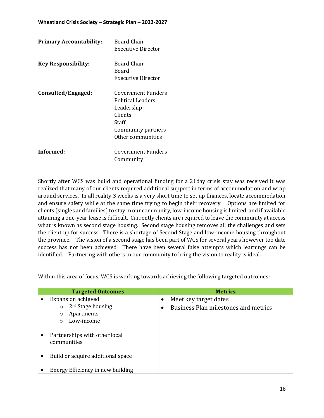| <b>Primary Accountability:</b> | Board Chair<br>Executive Director                                                                                           |
|--------------------------------|-----------------------------------------------------------------------------------------------------------------------------|
| <b>Key Responsibility:</b>     | Board Chair<br>Board<br>Executive Director                                                                                  |
| Consulted/Engaged:             | Government Funders<br><b>Political Leaders</b><br>Leadership<br>Clients<br>Staff<br>Community partners<br>Other communities |
| Informed:                      | Government Funders<br>Community                                                                                             |

Shortly after WCS was build and operational funding for a 21day crisis stay was received it was realized that many of our clients required additional support in terms of accommodation and wrap around services. In all reality 3 weeks is a very short time to set up finances, locate accommodation and ensure safety while at the same time trying to begin their recovery. Options are limited for clients (singles and families) to stay in our community, low-income housing is limited, and if available attaining a one-year lease is difficult. Currently clients are required to leave the community at access what is known as second stage housing. Second stage housing removes all the challenges and sets the client up for success. There is a shortage of Second Stage and low-income housing throughout the province. The vision of a second stage has been part of WCS for several years however too date success has not been achieved. There have been several false attempts which learnings can be identified. Partnering with others in our community to bring the vision to reality is ideal.

| <b>Targeted Outcomes</b>                                              | <b>Metrics</b>                                                |  |
|-----------------------------------------------------------------------|---------------------------------------------------------------|--|
| <b>Expansion achieved</b><br>2 <sup>nd</sup> Stage housing<br>$\circ$ | Meet key target dates<br>Business Plan milestones and metrics |  |
| Apartments<br>$\circ$<br>Low-income<br>$\bigcirc$                     |                                                               |  |
| Partnerships with other local<br>communities                          |                                                               |  |
| Build or acquire additional space                                     |                                                               |  |
| Energy Efficiency in new building                                     |                                                               |  |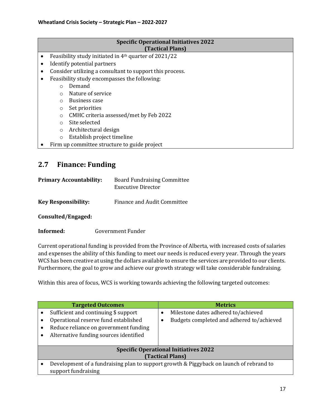#### **Specific Operational Initiatives 2022 (Tactical Plans)**

- Feasibility study initiated in 4th quarter of 2021/22
- Identify potential partners
- Consider utilizing a consultant to support this process.
- Feasibility study encompasses the following:
	- o Demand
	- o Nature of service
	- o Business case
	- o Set priorities
	- o CMHC criteria assessed/met by Feb 2022
	- o Site selected
	- o Architectural design
	- o Establish project timeline
- Firm up committee structure to guide project

### <span id="page-16-0"></span>**2.7 Finance: Funding**

| <b>Primary Accountability:</b> | <b>Board Fundraising Committee</b> |
|--------------------------------|------------------------------------|
|                                | Executive Director                 |
|                                |                                    |

**Key Responsibility:** Finance and Audit Committee

**Consulted/Engaged:**

### **Informed:** Government Funder

Current operational funding is provided from the Province of Alberta, with increased costs of salaries and expenses the ability of this funding to meet our needs is reduced every year. Through the years WCS has been creative at using the dollars available to ensure the services are provided to our clients. Furthermore, the goal to grow and achieve our growth strategy will take considerable fundraising.

|                                              | <b>Targeted Outcomes</b>                                                                |  | <b>Metrics</b>                            |  |
|----------------------------------------------|-----------------------------------------------------------------------------------------|--|-------------------------------------------|--|
|                                              | Sufficient and continuing \$ support                                                    |  | Milestone dates adhered to/achieved       |  |
|                                              | Operational reserve fund established                                                    |  | Budgets completed and adhered to/achieved |  |
|                                              | Reduce reliance on government funding                                                   |  |                                           |  |
|                                              | Alternative funding sources identified                                                  |  |                                           |  |
|                                              |                                                                                         |  |                                           |  |
| <b>Specific Operational Initiatives 2022</b> |                                                                                         |  |                                           |  |
| (Tactical Plans)                             |                                                                                         |  |                                           |  |
|                                              | Development of a fundraising plan to support growth & Piggyback on launch of rebrand to |  |                                           |  |
|                                              | support fundraising                                                                     |  |                                           |  |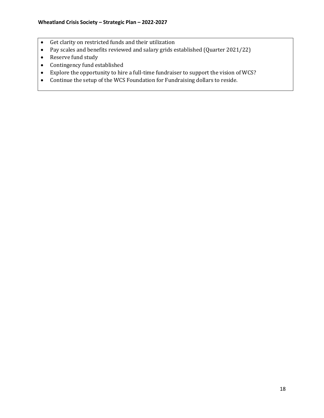- Get clarity on restricted funds and their utilization
- Pay scales and benefits reviewed and salary grids established (Quarter 2021/22)
- Reserve fund study
- Contingency fund established
- Explore the opportunity to hire a full-time fundraiser to support the vision of WCS?
- Continue the setup of the WCS Foundation for Fundraising dollars to reside.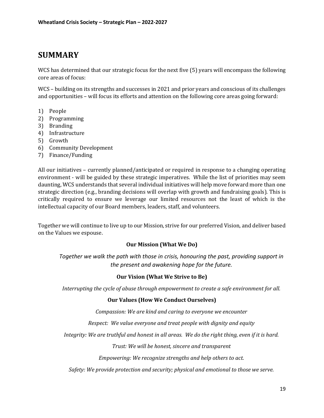### <span id="page-18-0"></span>**SUMMARY**

WCS has determined that our strategic focus for the next five (5) years will encompass the following core areas of focus:

WCS – building on its strengths and successes in 2021 and prior years and conscious of its challenges and opportunities – will focus its efforts and attention on the following core areas going forward:

- 1) People
- 2) Programming
- 3) Branding
- 4) Infrastructure
- 5) Growth
- 6) Community Development
- 7) Finance/Funding

All our initiatives – currently planned/anticipated or required in response to a changing operating environment - will be guided by these strategic imperatives. While the list of priorities may seem daunting, WCS understands that several individual initiatives will help move forward more than one strategic direction (e.g., branding decisions will overlap with growth and fundraising goals). This is critically required to ensure we leverage our limited resources not the least of which is the intellectual capacity of our Board members, leaders, staff, and volunteers.

Together we will continue to live up to our Mission, strive for our preferred Vision, and deliver based on the Values we espouse.

### **Our Mission (What We Do)**

*Together we walk the path with those in crisis, honouring the past, providing support in the present and awakening hope for the future.*

### **Our Vision (What We Strive to Be)**

*Interrupting the cycle of abuse through empowerment to create a safe environment for all.*

### **Our Values (How We Conduct Ourselves)**

*Compassion: We are kind and caring to everyone we encounter*

*Respect: We value everyone and treat people with dignity and equity*

*Integrity: We are truthful and honest in all areas. We do the right thing, even if it is hard.*

*Trust: We will be honest, sincere and transparent*

*Empowering: We recognize strengths and help others to act.*

*Safety: We provide protection and security; physical and emotional to those we serve.*